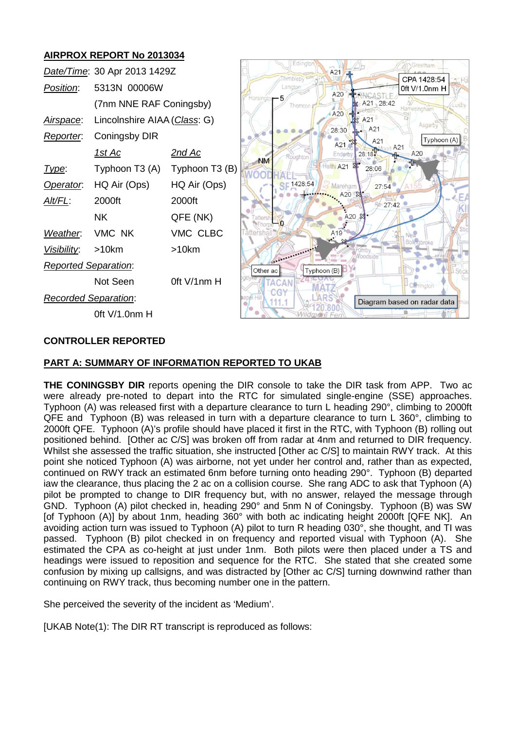# **AIRPROX REPORT No 2013034**



#### **CONTROLLER REPORTED**

# **PART A: SUMMARY OF INFORMATION REPORTED TO UKAB**

**THE CONINGSBY DIR** reports opening the DIR console to take the DIR task from APP. Two ac were already pre-noted to depart into the RTC for simulated single-engine (SSE) approaches. Typhoon (A) was released first with a departure clearance to turn L heading 290°, climbing to 2000ft QFE and Typhoon (B) was released in turn with a departure clearance to turn L  $360^{\circ}$ , climbing to 2000ft QFE. Typhoon (A)'s profile should have placed it first in the RTC, with Typhoon (B) rolling out positioned behind. [Other ac C/S] was broken off from radar at 4nm and returned to DIR frequency. Whilst she assessed the traffic situation, she instructed [Other ac C/S] to maintain RWY track. At this point she noticed Typhoon (A) was airborne, not yet under her control and, rather than as expected, continued on RWY track an estimated 6nm before turning onto heading 290°. Typhoon (B) departed iaw the clearance, thus placing the 2 ac on a collision course. She rang ADC to ask that Typhoon (A) pilot be prompted to change to DIR frequency but, with no answer, relayed the message through GND. Typhoon (A) pilot checked in, heading 290° and 5nm N of Coningsby. Typhoon (B) was SW [of Typhoon (A)] by about 1nm, heading 360° with both ac indicating height 2000ft [QFE NK]. An avoiding action turn was issued to Typhoon (A) pilot to turn R heading 030°, she thought, and TI was passed. Typhoon (B) pilot checked in on frequency and reported visual with Typhoon (A). She estimated the CPA as co-height at just under 1nm. Both pilots were then placed under a TS and headings were issued to reposition and sequence for the RTC. She stated that she created some confusion by mixing up callsigns, and was distracted by [Other ac C/S] turning downwind rather than continuing on RWY track, thus becoming number one in the pattern.

She perceived the severity of the incident as 'Medium'.

[UKAB Note(1): The DIR RT transcript is reproduced as follows: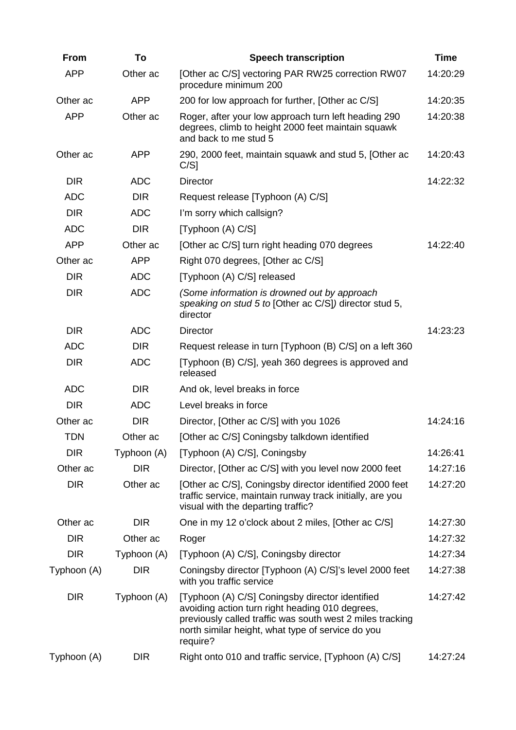| <b>From</b> | To          | <b>Speech transcription</b>                                                                                                                                                                                                      | <b>Time</b> |
|-------------|-------------|----------------------------------------------------------------------------------------------------------------------------------------------------------------------------------------------------------------------------------|-------------|
| <b>APP</b>  | Other ac    | [Other ac C/S] vectoring PAR RW25 correction RW07<br>procedure minimum 200                                                                                                                                                       | 14:20:29    |
| Other ac    | <b>APP</b>  | 200 for low approach for further, [Other ac C/S]                                                                                                                                                                                 | 14:20:35    |
| <b>APP</b>  | Other ac    | Roger, after your low approach turn left heading 290<br>degrees, climb to height 2000 feet maintain squawk<br>and back to me stud 5                                                                                              | 14:20:38    |
| Other ac    | <b>APP</b>  | 290, 2000 feet, maintain squawk and stud 5, [Other ac<br>C/S <sub>1</sub>                                                                                                                                                        | 14:20:43    |
| <b>DIR</b>  | <b>ADC</b>  | <b>Director</b>                                                                                                                                                                                                                  | 14:22:32    |
| <b>ADC</b>  | <b>DIR</b>  | Request release [Typhoon (A) C/S]                                                                                                                                                                                                |             |
| <b>DIR</b>  | <b>ADC</b>  | I'm sorry which callsign?                                                                                                                                                                                                        |             |
| <b>ADC</b>  | <b>DIR</b>  | [Typhoon (A) C/S]                                                                                                                                                                                                                |             |
| <b>APP</b>  | Other ac    | [Other ac C/S] turn right heading 070 degrees                                                                                                                                                                                    | 14:22:40    |
| Other ac    | <b>APP</b>  | Right 070 degrees, [Other ac C/S]                                                                                                                                                                                                |             |
| <b>DIR</b>  | <b>ADC</b>  | [Typhoon (A) C/S] released                                                                                                                                                                                                       |             |
| <b>DIR</b>  | <b>ADC</b>  | (Some information is drowned out by approach<br>speaking on stud 5 to [Other ac C/S]) director stud 5,<br>director                                                                                                               |             |
| <b>DIR</b>  | <b>ADC</b>  | <b>Director</b>                                                                                                                                                                                                                  | 14:23:23    |
| <b>ADC</b>  | <b>DIR</b>  | Request release in turn [Typhoon (B) C/S] on a left 360                                                                                                                                                                          |             |
| <b>DIR</b>  | <b>ADC</b>  | [Typhoon (B) C/S], yeah 360 degrees is approved and<br>released                                                                                                                                                                  |             |
| <b>ADC</b>  | <b>DIR</b>  | And ok, level breaks in force                                                                                                                                                                                                    |             |
| <b>DIR</b>  | <b>ADC</b>  | Level breaks in force                                                                                                                                                                                                            |             |
| Other ac    | <b>DIR</b>  | Director, [Other ac C/S] with you 1026                                                                                                                                                                                           | 14:24:16    |
| <b>TDN</b>  | Other ac    | [Other ac C/S] Coningsby talkdown identified                                                                                                                                                                                     |             |
| <b>DIR</b>  | Typhoon (A) | [Typhoon (A) C/S], Coningsby                                                                                                                                                                                                     | 14:26:41    |
| Other ac    | <b>DIR</b>  | Director, [Other ac C/S] with you level now 2000 feet                                                                                                                                                                            | 14:27:16    |
| <b>DIR</b>  | Other ac    | [Other ac C/S], Coningsby director identified 2000 feet<br>traffic service, maintain runway track initially, are you<br>visual with the departing traffic?                                                                       | 14:27:20    |
| Other ac    | <b>DIR</b>  | One in my 12 o'clock about 2 miles, [Other ac C/S]                                                                                                                                                                               | 14:27:30    |
| <b>DIR</b>  | Other ac    | Roger                                                                                                                                                                                                                            | 14:27:32    |
| <b>DIR</b>  | Typhoon (A) | [Typhoon (A) C/S], Coningsby director                                                                                                                                                                                            | 14:27:34    |
| Typhoon (A) | <b>DIR</b>  | Coningsby director [Typhoon (A) C/S]'s level 2000 feet<br>with you traffic service                                                                                                                                               | 14:27:38    |
| <b>DIR</b>  | Typhoon (A) | [Typhoon (A) C/S] Coningsby director identified<br>avoiding action turn right heading 010 degrees,<br>previously called traffic was south west 2 miles tracking<br>north similar height, what type of service do you<br>require? | 14:27:42    |
| Typhoon (A) | <b>DIR</b>  | Right onto 010 and traffic service, [Typhoon (A) C/S]                                                                                                                                                                            | 14:27:24    |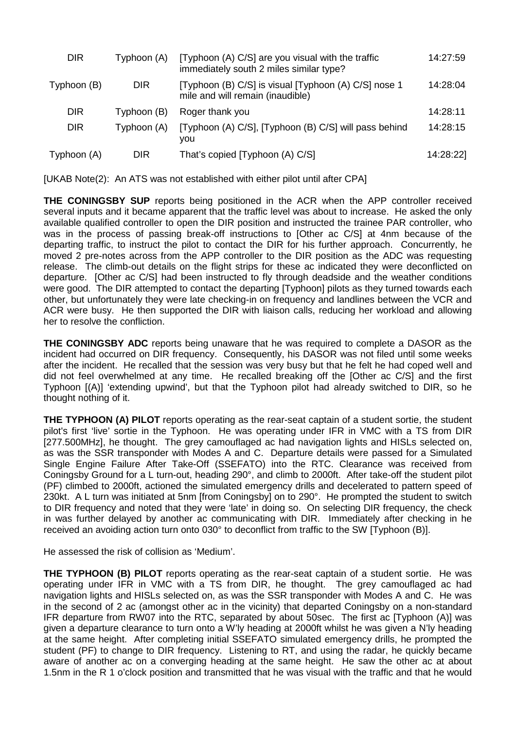| <b>DIR</b>  | Typhoon (A) | [Typhoon (A) C/S] are you visual with the traffic<br>immediately south 2 miles similar type? | 14:27:59  |
|-------------|-------------|----------------------------------------------------------------------------------------------|-----------|
| Typhoon (B) | <b>DIR</b>  | [Typhoon (B) C/S] is visual [Typhoon (A) C/S] nose 1<br>mile and will remain (inaudible)     | 14:28:04  |
| <b>DIR</b>  | Typhoon (B) | Roger thank you                                                                              | 14:28:11  |
| <b>DIR</b>  | Typhoon (A) | [Typhoon (A) C/S], [Typhoon (B) C/S] will pass behind<br>vou                                 | 14:28:15  |
| Typhoon (A) | <b>DIR</b>  | That's copied [Typhoon (A) C/S]                                                              | 14:28:22] |

[UKAB Note(2): An ATS was not established with either pilot until after CPA]

**THE CONINGSBY SUP** reports being positioned in the ACR when the APP controller received several inputs and it became apparent that the traffic level was about to increase. He asked the only available qualified controller to open the DIR position and instructed the trainee PAR controller, who was in the process of passing break-off instructions to [Other ac C/S] at 4nm because of the departing traffic, to instruct the pilot to contact the DIR for his further approach. Concurrently, he moved 2 pre-notes across from the APP controller to the DIR position as the ADC was requesting release. The climb-out details on the flight strips for these ac indicated they were deconflicted on departure. [Other ac C/S] had been instructed to fly through deadside and the weather conditions were good. The DIR attempted to contact the departing [Typhoon] pilots as they turned towards each other, but unfortunately they were late checking-in on frequency and landlines between the VCR and ACR were busy. He then supported the DIR with liaison calls, reducing her workload and allowing her to resolve the confliction.

**THE CONINGSBY ADC** reports being unaware that he was required to complete a DASOR as the incident had occurred on DIR frequency. Consequently, his DASOR was not filed until some weeks after the incident. He recalled that the session was very busy but that he felt he had coped well and did not feel overwhelmed at any time. He recalled breaking off the [Other ac C/S] and the first Typhoon [(A)] 'extending upwind', but that the Typhoon pilot had already switched to DIR, so he thought nothing of it.

**THE TYPHOON (A) PILOT** reports operating as the rear-seat captain of a student sortie, the student pilot's first 'live' sortie in the Typhoon. He was operating under IFR in VMC with a TS from DIR [277.500MHz], he thought. The grey camouflaged ac had navigation lights and HISLs selected on, as was the SSR transponder with Modes A and C. Departure details were passed for a Simulated Single Engine Failure After Take-Off (SSEFATO) into the RTC. Clearance was received from Coningsby Ground for a L turn-out, heading 290°, and climb to 2000ft. After take-off the student pilot (PF) climbed to 2000ft, actioned the simulated emergency drills and decelerated to pattern speed of 230kt. A L turn was initiated at 5nm [from Coningsby] on to 290°. He prompted the student to switch to DIR frequency and noted that they were 'late' in doing so. On selecting DIR frequency, the check in was further delayed by another ac communicating with DIR. Immediately after checking in he received an avoiding action turn onto 030° to deconflict from traffic to the SW [Typhoon (B)].

He assessed the risk of collision as 'Medium'.

**THE TYPHOON (B) PILOT** reports operating as the rear-seat captain of a student sortie. He was operating under IFR in VMC with a TS from DIR, he thought. The grey camouflaged ac had navigation lights and HISLs selected on, as was the SSR transponder with Modes A and C. He was in the second of 2 ac (amongst other ac in the vicinity) that departed Coningsby on a non-standard IFR departure from RW07 into the RTC, separated by about 50sec. The first ac [Typhoon (A)] was given a departure clearance to turn onto a W'ly heading at 2000ft whilst he was given a N'ly heading at the same height. After completing initial SSEFATO simulated emergency drills, he prompted the student (PF) to change to DIR frequency. Listening to RT, and using the radar, he quickly became aware of another ac on a converging heading at the same height. He saw the other ac at about 1.5nm in the R 1 o'clock position and transmitted that he was visual with the traffic and that he would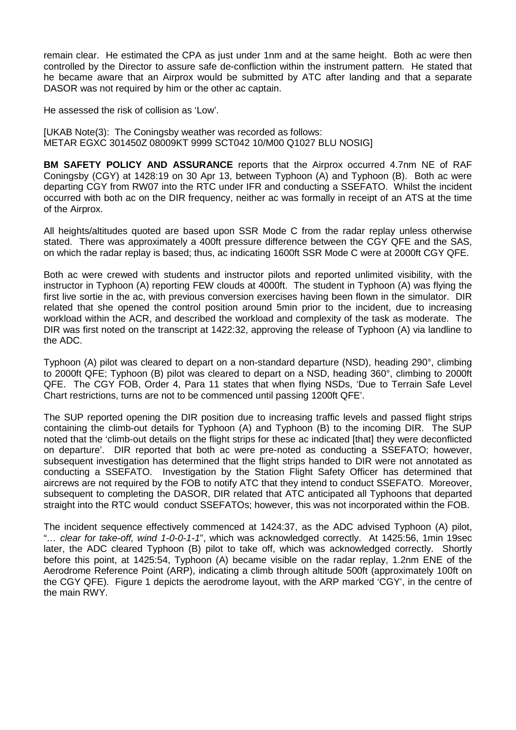remain clear. He estimated the CPA as just under 1nm and at the same height. Both ac were then controlled by the Director to assure safe de-confliction within the instrument pattern. He stated that he became aware that an Airprox would be submitted by ATC after landing and that a separate DASOR was not required by him or the other ac captain.

He assessed the risk of collision as 'Low'.

[UKAB Note(3): The Coningsby weather was recorded as follows: METAR EGXC 301450Z 08009KT 9999 SCT042 10/M00 Q1027 BLU NOSIG]

**BM SAFETY POLICY AND ASSURANCE** reports that the Airprox occurred 4.7nm NE of RAF Coningsby (CGY) at 1428:19 on 30 Apr 13, between Typhoon (A) and Typhoon (B). Both ac were departing CGY from RW07 into the RTC under IFR and conducting a SSEFATO. Whilst the incident occurred with both ac on the DIR frequency, neither ac was formally in receipt of an ATS at the time of the Airprox.

All heights/altitudes quoted are based upon SSR Mode C from the radar replay unless otherwise stated. There was approximately a 400ft pressure difference between the CGY QFE and the SAS, on which the radar replay is based; thus, ac indicating 1600ft SSR Mode C were at 2000ft CGY QFE.

Both ac were crewed with students and instructor pilots and reported unlimited visibility, with the instructor in Typhoon (A) reporting FEW clouds at 4000ft. The student in Typhoon (A) was flying the first live sortie in the ac, with previous conversion exercises having been flown in the simulator. DIR related that she opened the control position around 5min prior to the incident, due to increasing workload within the ACR, and described the workload and complexity of the task as moderate. The DIR was first noted on the transcript at 1422:32, approving the release of Typhoon (A) via landline to the ADC.

Typhoon (A) pilot was cleared to depart on a non-standard departure (NSD), heading 290°, climbing to 2000ft QFE; Typhoon (B) pilot was cleared to depart on a NSD, heading 360°, climbing to 2000ft QFE. The CGY FOB, Order 4, Para 11 states that when flying NSDs, 'Due to Terrain Safe Level Chart restrictions, turns are not to be commenced until passing 1200ft QFE'.

The SUP reported opening the DIR position due to increasing traffic levels and passed flight strips containing the climb-out details for Typhoon (A) and Typhoon (B) to the incoming DIR. The SUP noted that the 'climb-out details on the flight strips for these ac indicated [that] they were deconflicted on departure'. DIR reported that both ac were pre-noted as conducting a SSEFATO; however, subsequent investigation has determined that the flight strips handed to DIR were not annotated as conducting a SSEFATO. Investigation by the Station Flight Safety Officer has determined that aircrews are not required by the FOB to notify ATC that they intend to conduct SSEFATO. Moreover, subsequent to completing the DASOR, DIR related that ATC anticipated all Typhoons that departed straight into the RTC would conduct SSEFATOs; however, this was not incorporated within the FOB.

The incident sequence effectively commenced at 1424:37, as the ADC advised Typhoon (A) pilot, "*… clear for take-off, wind 1-0-0-1-1*", which was acknowledged correctly. At 1425:56, 1min 19sec later, the ADC cleared Typhoon (B) pilot to take off, which was acknowledged correctly. Shortly before this point, at 1425:54, Typhoon (A) became visible on the radar replay, 1.2nm ENE of the Aerodrome Reference Point (ARP), indicating a climb through altitude 500ft (approximately 100ft on the CGY QFE). Figure 1 depicts the aerodrome layout, with the ARP marked 'CGY', in the centre of the main RWY.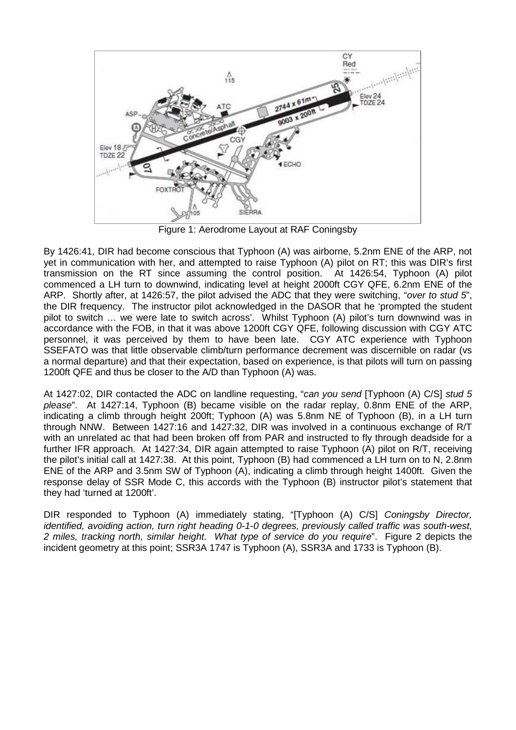

Figure 1: Aerodrome Layout at RAF Coningsby

By 1426:41, DIR had become conscious that Typhoon (A) was airborne, 5.2nm ENE of the ARP, not yet in communication with her, and attempted to raise Typhoon (A) pilot on RT; this was DIR's first transmission on the RT since assuming the control position. At 1426:54, Typhoon (A) pilot commenced a LH turn to downwind, indicating level at height 2000ft CGY QFE, 6.2nm ENE of the ARP. Shortly after, at 1426:57, the pilot advised the ADC that they were switching, "*over to stud 5*", the DIR frequency. The instructor pilot acknowledged in the DASOR that he 'prompted the student pilot to switch … we were late to switch across'. Whilst Typhoon (A) pilot's turn downwind was in accordance with the FOB, in that it was above 1200ft CGY QFE, following discussion with CGY ATC personnel, it was perceived by them to have been late. CGY ATC experience with Typhoon SSEFATO was that little observable climb/turn performance decrement was discernible on radar (vs a normal departure) and that their expectation, based on experience, is that pilots will turn on passing 1200ft QFE and thus be closer to the A/D than Typhoon (A) was.

At 1427:02, DIR contacted the ADC on landline requesting, "*can you send* [Typhoon (A) C/S] *stud 5 please*". At 1427:14, Typhoon (B) became visible on the radar replay, 0.8nm ENE of the ARP, indicating a climb through height 200ft; Typhoon (A) was 5.8nm NE of Typhoon (B), in a LH turn through NNW. Between 1427:16 and 1427:32, DIR was involved in a continuous exchange of R/T with an unrelated ac that had been broken off from PAR and instructed to fly through deadside for a further IFR approach. At 1427:34, DIR again attempted to raise Typhoon (A) pilot on R/T, receiving the pilot's initial call at 1427:38. At this point, Typhoon (B) had commenced a LH turn on to N, 2.8nm ENE of the ARP and 3.5nm SW of Typhoon (A), indicating a climb through height 1400ft. Given the response delay of SSR Mode C, this accords with the Typhoon (B) instructor pilot's statement that they had 'turned at 1200ft'.

DIR responded to Typhoon (A) immediately stating, "[Typhoon (A) C/S] *Coningsby Director, identified, avoiding action, turn right heading 0-1-0 degrees, previously called traffic was south-west, 2 miles, tracking north, similar height. What type of service do you require*". Figure 2 depicts the incident geometry at this point; SSR3A 1747 is Typhoon (A), SSR3A and 1733 is Typhoon (B).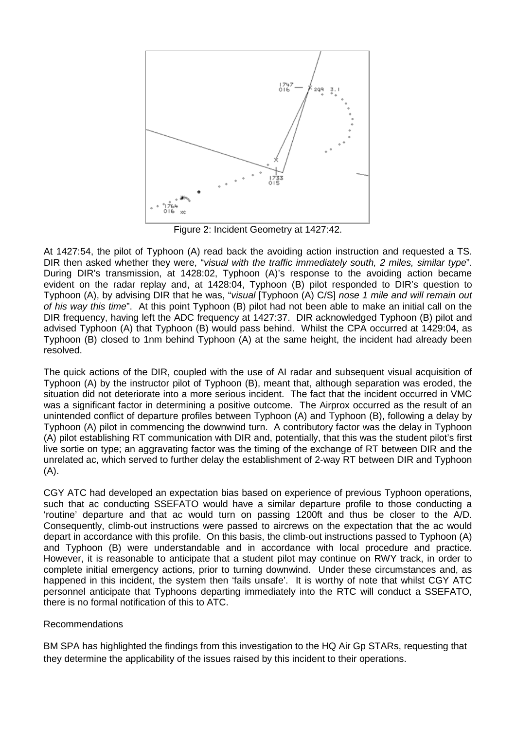

Figure 2: Incident Geometry at 1427:42.

At 1427:54, the pilot of Typhoon (A) read back the avoiding action instruction and requested a TS. DIR then asked whether they were, "*visual with the traffic immediately south, 2 miles, similar type*". During DIR's transmission, at 1428:02, Typhoon (A)'s response to the avoiding action became evident on the radar replay and, at 1428:04, Typhoon (B) pilot responded to DIR's question to Typhoon (A), by advising DIR that he was, "*visual* [Typhoon (A) C/S] *nose 1 mile and will remain out of his way this time*". At this point Typhoon (B) pilot had not been able to make an initial call on the DIR frequency, having left the ADC frequency at 1427:37. DIR acknowledged Typhoon (B) pilot and advised Typhoon (A) that Typhoon (B) would pass behind. Whilst the CPA occurred at 1429:04, as Typhoon (B) closed to 1nm behind Typhoon (A) at the same height, the incident had already been resolved.

The quick actions of the DIR, coupled with the use of AI radar and subsequent visual acquisition of Typhoon (A) by the instructor pilot of Typhoon (B), meant that, although separation was eroded, the situation did not deteriorate into a more serious incident. The fact that the incident occurred in VMC was a significant factor in determining a positive outcome. The Airprox occurred as the result of an unintended conflict of departure profiles between Typhoon (A) and Typhoon (B), following a delay by Typhoon (A) pilot in commencing the downwind turn. A contributory factor was the delay in Typhoon (A) pilot establishing RT communication with DIR and, potentially, that this was the student pilot's first live sortie on type; an aggravating factor was the timing of the exchange of RT between DIR and the unrelated ac, which served to further delay the establishment of 2-way RT between DIR and Typhoon (A).

CGY ATC had developed an expectation bias based on experience of previous Typhoon operations, such that ac conducting SSEFATO would have a similar departure profile to those conducting a 'routine' departure and that ac would turn on passing 1200ft and thus be closer to the A/D. Consequently, climb-out instructions were passed to aircrews on the expectation that the ac would depart in accordance with this profile. On this basis, the climb-out instructions passed to Typhoon (A) and Typhoon (B) were understandable and in accordance with local procedure and practice. However, it is reasonable to anticipate that a student pilot may continue on RWY track, in order to complete initial emergency actions, prior to turning downwind. Under these circumstances and, as happened in this incident, the system then 'fails unsafe'. It is worthy of note that whilst CGY ATC personnel anticipate that Typhoons departing immediately into the RTC will conduct a SSEFATO, there is no formal notification of this to ATC.

# Recommendations

BM SPA has highlighted the findings from this investigation to the HQ Air Gp STARs, requesting that they determine the applicability of the issues raised by this incident to their operations.